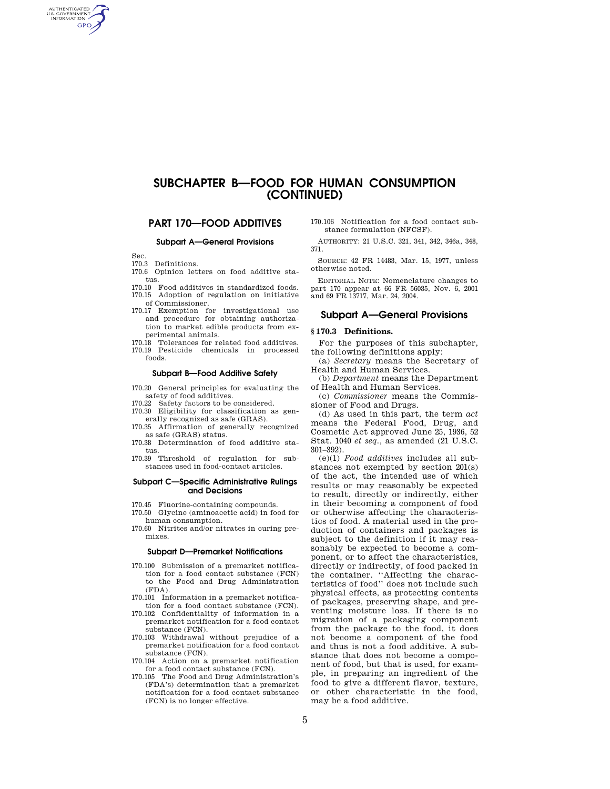# **SUBCHAPTER B—FOOD FOR HUMAN CONSUMPTION (CONTINUED)**

# **PART 170—FOOD ADDITIVES**

### **Subpart A—General Provisions**

Sec.

AUTHENTICATED<br>U.S. GOVERNMENT<br>INFORMATION **GPO** 

- 170.3 Definitions.
- 170.6 Opinion letters on food additive status.
- 170.10 Food additives in standardized foods. 170.15 Adoption of regulation on initiative of Commissioner.
- 170.17 Exemption for investigational use and procedure for obtaining authorization to market edible products from experimental animals.
- 170.18 Tolerances for related food additives. 170.19 Pesticide chemicals in processed foods.

#### **Subpart B—Food Additive Safety**

- 170.20 General principles for evaluating the safety of food additives.
- 170.22 Safety factors to be considered.
- 170.30 Eligibility for classification as generally recognized as safe (GRAS).
- 170.35 Affirmation of generally recognized as safe (GRAS) status.
- 170.38 Determination of food additive status.
- 170.39 Threshold of regulation for substances used in food-contact articles.

# **Subpart C—Specific Administrative Rulings and Decisions**

- 170.45 Fluorine-containing compounds.
- 170.50 Glycine (aminoacetic acid) in food for human consumption.
- 170.60 Nitrites and/or nitrates in curing premixes.

#### **Subpart D—Premarket Notifications**

- 170.100 Submission of a premarket notification for a food contact substance (FCN) to the Food and Drug Administration  $(FDA)$ .
- 170.101 Information in a premarket notification for a food contact substance (FCN).
- 170.102 Confidentiality of information in a premarket notification for a food contact substance (FCN).
- 170.103 Withdrawal without prejudice of a premarket notification for a food contact substance (FCN).
- 170.104 Action on a premarket notification for a food contact substance (FCN).
- 170.105 The Food and Drug Administration's (FDA's) determination that a premarket notification for a food contact substance (FCN) is no longer effective.

170.106 Notification for a food contact substance formulation (NFCSF).

AUTHORITY: 21 U.S.C. 321, 341, 342, 346a, 348, 371.

SOURCE: 42 FR 14483, Mar. 15, 1977, unless otherwise noted.

EDITORIAL NOTE: Nomenclature changes to part 170 appear at 66 FR 56035, Nov. 6, 2001 and 69 FR 13717, Mar. 24, 2004.

## **Subpart A—General Provisions**

## **§ 170.3 Definitions.**

For the purposes of this subchapter, the following definitions apply:

(a) *Secretary* means the Secretary of Health and Human Services.

(b) *Department* means the Department of Health and Human Services.

(c) *Commissioner* means the Commissioner of Food and Drugs.

(d) As used in this part, the term *act*  means the Federal Food, Drug, and Cosmetic Act approved June 25, 1936, 52 Stat. 1040 *et seq.,* as amended (21 U.S.C. 301–392).

(e)(1) *Food additives* includes all substances not exempted by section 201(s) of the act, the intended use of which results or may reasonably be expected to result, directly or indirectly, either in their becoming a component of food or otherwise affecting the characteristics of food. A material used in the production of containers and packages is subject to the definition if it may reasonably be expected to become a component, or to affect the characteristics, directly or indirectly, of food packed in the container. ''Affecting the characteristics of food'' does not include such physical effects, as protecting contents of packages, preserving shape, and preventing moisture loss. If there is no migration of a packaging component from the package to the food, it does not become a component of the food and thus is not a food additive. A substance that does not become a component of food, but that is used, for example, in preparing an ingredient of the food to give a different flavor, texture, or other characteristic in the food, may be a food additive.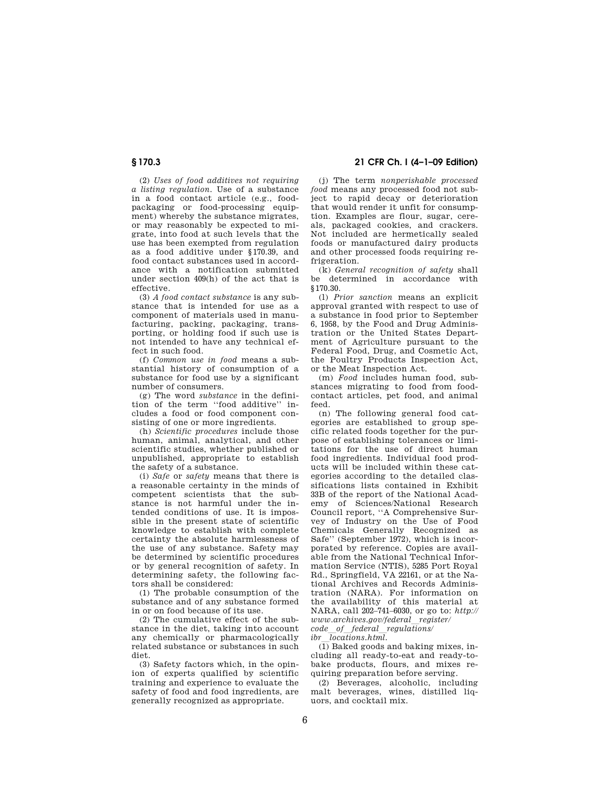(2) *Uses of food additives not requiring a listing regulation.* Use of a substance in a food contact article (e.g., foodpackaging or food-processing equipment) whereby the substance migrates, or may reasonably be expected to migrate, into food at such levels that the use has been exempted from regulation as a food additive under §170.39, and food contact substances used in accordance with a notification submitted under section 409(h) of the act that is effective.

(3) *A food contact substance* is any substance that is intended for use as a component of materials used in manufacturing, packing, packaging, transporting, or holding food if such use is not intended to have any technical effect in such food.

(f) *Common use in food* means a substantial history of consumption of a substance for food use by a significant number of consumers.

(g) The word *substance* in the definition of the term ''food additive'' includes a food or food component consisting of one or more ingredients.

(h) *Scientific procedures* include those human, animal, analytical, and other scientific studies, whether published or unpublished, appropriate to establish the safety of a substance.

(i) *Safe* or *safety* means that there is a reasonable certainty in the minds of competent scientists that the substance is not harmful under the intended conditions of use. It is impossible in the present state of scientific knowledge to establish with complete certainty the absolute harmlessness of the use of any substance. Safety may be determined by scientific procedures or by general recognition of safety. In determining safety, the following factors shall be considered:

(1) The probable consumption of the substance and of any substance formed in or on food because of its use.

(2) The cumulative effect of the substance in the diet, taking into account any chemically or pharmacologically related substance or substances in such diet.

(3) Safety factors which, in the opinion of experts qualified by scientific training and experience to evaluate the safety of food and food ingredients, are generally recognized as appropriate.

**§ 170.3 21 CFR Ch. I (4–1–09 Edition)** 

(j) The term *nonperishable processed food* means any processed food not subject to rapid decay or deterioration that would render it unfit for consumption. Examples are flour, sugar, cereals, packaged cookies, and crackers. Not included are hermetically sealed foods or manufactured dairy products and other processed foods requiring refrigeration

(k) *General recognition of safety* shall be determined in accordance with §170.30.

(l) *Prior sanction* means an explicit approval granted with respect to use of a substance in food prior to September 6, 1958, by the Food and Drug Administration or the United States Department of Agriculture pursuant to the Federal Food, Drug, and Cosmetic Act, the Poultry Products Inspection Act, or the Meat Inspection Act.

(m) *Food* includes human food, substances migrating to food from foodcontact articles, pet food, and animal feed.

(n) The following general food categories are established to group specific related foods together for the purpose of establishing tolerances or limitations for the use of direct human food ingredients. Individual food products will be included within these categories according to the detailed classifications lists contained in Exhibit 33B of the report of the National Academy of Sciences/National Research Council report, ''A Comprehensive Survey of Industry on the Use of Food Chemicals Generally Recognized as Safe'' (September 1972), which is incorporated by reference. Copies are available from the National Technical Information Service (NTIS), 5285 Port Royal Rd., Springfield, VA 22161, or at the National Archives and Records Administration (NARA). For information on the availability of this material at NARA, call 202–741–6030, or go to: *http:// www.archives.gov/federal*l*register/ code*l*of*l*federal*l*regulations/* 

*ibr*l*locations.html.* 

 $\overline{(1)}$  Baked goods and baking mixes, including all ready-to-eat and ready-tobake products, flours, and mixes requiring preparation before serving.

(2) Beverages, alcoholic, including malt beverages, wines, distilled liquors, and cocktail mix.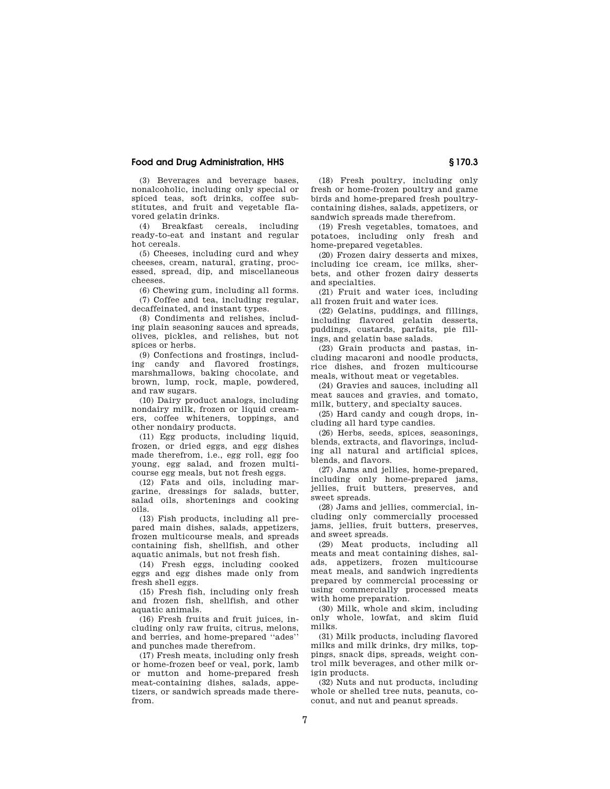# **Food and Drug Administration, HHS § 170.3**

(3) Beverages and beverage bases, nonalcoholic, including only special or spiced teas, soft drinks, coffee substitutes, and fruit and vegetable flavored gelatin drinks.

(4) Breakfast cereals, including ready-to-eat and instant and regular hot cereals.

(5) Cheeses, including curd and whey cheeses, cream, natural, grating, processed, spread, dip, and miscellaneous cheeses.

(6) Chewing gum, including all forms.

(7) Coffee and tea, including regular, decaffeinated, and instant types.

(8) Condiments and relishes, including plain seasoning sauces and spreads, olives, pickles, and relishes, but not spices or herbs.

(9) Confections and frostings, including candy and flavored frostings, marshmallows, baking chocolate, and brown, lump, rock, maple, powdered, and raw sugars.

(10) Dairy product analogs, including nondairy milk, frozen or liquid creamers, coffee whiteners, toppings, and other nondairy products.

(11) Egg products, including liquid, frozen, or dried eggs, and egg dishes made therefrom, i.e., egg roll, egg foo young, egg salad, and frozen multicourse egg meals, but not fresh eggs.

(12) Fats and oils, including margarine, dressings for salads, butter, salad oils, shortenings and cooking oils.

(13) Fish products, including all prepared main dishes, salads, appetizers, frozen multicourse meals, and spreads containing fish, shellfish, and other aquatic animals, but not fresh fish.

(14) Fresh eggs, including cooked eggs and egg dishes made only from fresh shell eggs.

(15) Fresh fish, including only fresh and frozen fish, shellfish, and other aquatic animals.

(16) Fresh fruits and fruit juices, including only raw fruits, citrus, melons, and berries, and home-prepared ''ades'' and punches made therefrom.

(17) Fresh meats, including only fresh or home-frozen beef or veal, pork, lamb or mutton and home-prepared fresh meat-containing dishes, salads, appetizers, or sandwich spreads made therefrom.

(18) Fresh poultry, including only fresh or home-frozen poultry and game birds and home-prepared fresh poultrycontaining dishes, salads, appetizers, or sandwich spreads made therefrom.

(19) Fresh vegetables, tomatoes, and potatoes, including only fresh and home-prepared vegetables.

(20) Frozen dairy desserts and mixes, including ice cream, ice milks, sherbets, and other frozen dairy desserts and specialties.

(21) Fruit and water ices, including all frozen fruit and water ices.

(22) Gelatins, puddings, and fillings, including flavored gelatin desserts, puddings, custards, parfaits, pie fillings, and gelatin base salads.

(23) Grain products and pastas, including macaroni and noodle products, rice dishes, and frozen multicourse meals, without meat or vegetables.

(24) Gravies and sauces, including all meat sauces and gravies, and tomato, milk, buttery, and specialty sauces.

(25) Hard candy and cough drops, including all hard type candies.

(26) Herbs, seeds, spices, seasonings, blends, extracts, and flavorings, including all natural and artificial spices, blends, and flavors.

(27) Jams and jellies, home-prepared, including only home-prepared jams, jellies, fruit butters, preserves, and sweet spreads.

(28) Jams and jellies, commercial, including only commercially processed jams, jellies, fruit butters, preserves, and sweet spreads.

(29) Meat products, including all meats and meat containing dishes, salads, appetizers, frozen multicourse meat meals, and sandwich ingredients prepared by commercial processing or using commercially processed meats with home preparation.

(30) Milk, whole and skim, including only whole, lowfat, and skim fluid milks.

(31) Milk products, including flavored milks and milk drinks, dry milks, toppings, snack dips, spreads, weight control milk beverages, and other milk origin products.

(32) Nuts and nut products, including whole or shelled tree nuts, peanuts, coconut, and nut and peanut spreads.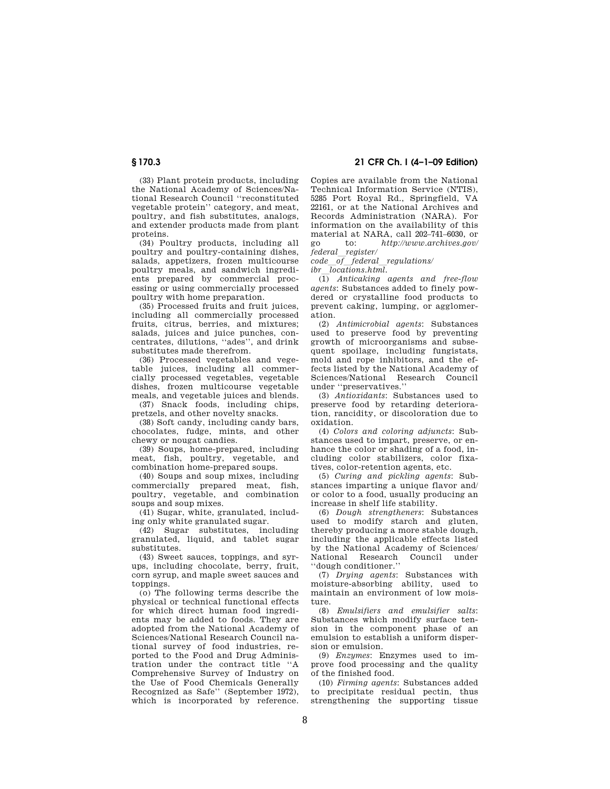(33) Plant protein products, including the National Academy of Sciences/National Research Council ''reconstituted vegetable protein'' category, and meat, poultry, and fish substitutes, analogs, and extender products made from plant proteins.

(34) Poultry products, including all poultry and poultry-containing dishes, salads, appetizers, frozen multicourse poultry meals, and sandwich ingredients prepared by commercial processing or using commercially processed poultry with home preparation.

(35) Processed fruits and fruit juices, including all commercially processed fruits, citrus, berries, and mixtures; salads, juices and juice punches, concentrates, dilutions, ''ades'', and drink substitutes made therefrom.

(36) Processed vegetables and vegetable juices, including all commercially processed vegetables, vegetable dishes, frozen multicourse vegetable meals, and vegetable juices and blends.

(37) Snack foods, including chips, pretzels, and other novelty snacks.

(38) Soft candy, including candy bars, chocolates, fudge, mints, and other chewy or nougat candies.

(39) Soups, home-prepared, including meat, fish, poultry, vegetable, and combination home-prepared soups.

(40) Soups and soup mixes, including commercially prepared meat, fish, poultry, vegetable, and combination soups and soup mixes.

(41) Sugar, white, granulated, including only white granulated sugar.

(42) Sugar substitutes, including granulated, liquid, and tablet sugar substitutes.

(43) Sweet sauces, toppings, and syrups, including chocolate, berry, fruit, corn syrup, and maple sweet sauces and toppings

(o) The following terms describe the physical or technical functional effects for which direct human food ingredients may be added to foods. They are adopted from the National Academy of Sciences/National Research Council national survey of food industries, reported to the Food and Drug Administration under the contract title ''A Comprehensive Survey of Industry on the Use of Food Chemicals Generally Recognized as Safe'' (September 1972), which is incorporated by reference.

**§ 170.3 21 CFR Ch. I (4–1–09 Edition)** 

Copies are available from the National Technical Information Service (NTIS), 5285 Port Royal Rd., Springfield, VA 22161, or at the National Archives and Records Administration (NARA). For information on the availability of this material at NARA, call 202–741–6030, or go to: *http://www.archives.gov/* 

*federal*l*register/ code*l*of*l*federal*l*regulations/* 

*ibr*l*locations.html.* 

(1) *Anticaking agents and free-flow agents*: Substances added to finely powdered or crystalline food products to prevent caking, lumping, or agglomeration.

(2) *Antimicrobial agents*: Substances used to preserve food by preventing growth of microorganisms and subsequent spoilage, including fungistats, mold and rope inhibitors, and the effects listed by the National Academy of Sciences/National Research Council under ''preservatives.''

(3) *Antioxidants*: Substances used to preserve food by retarding deterioration, rancidity, or discoloration due to oxidation.

(4) *Colors and coloring adjuncts*: Substances used to impart, preserve, or enhance the color or shading of a food, including color stabilizers, color fixatives, color-retention agents, etc.

(5) *Curing and pickling agents*: Substances imparting a unique flavor and/ or color to a food, usually producing an increase in shelf life stability.

(6) *Dough strengtheners*: Substances used to modify starch and gluten, thereby producing a more stable dough, including the applicable effects listed by the National Academy of Sciences/ National Research Council under ''dough conditioner.''

(7) *Drying agents*: Substances with moisture-absorbing ability, used to maintain an environment of low moisture.

(8) *Emulsifiers and emulsifier salts*: Substances which modify surface tension in the component phase of an emulsion to establish a uniform dispersion or emulsion.

(9) *Enzymes*: Enzymes used to improve food processing and the quality of the finished food.

(10) *Firming agents*: Substances added to precipitate residual pectin, thus strengthening the supporting tissue